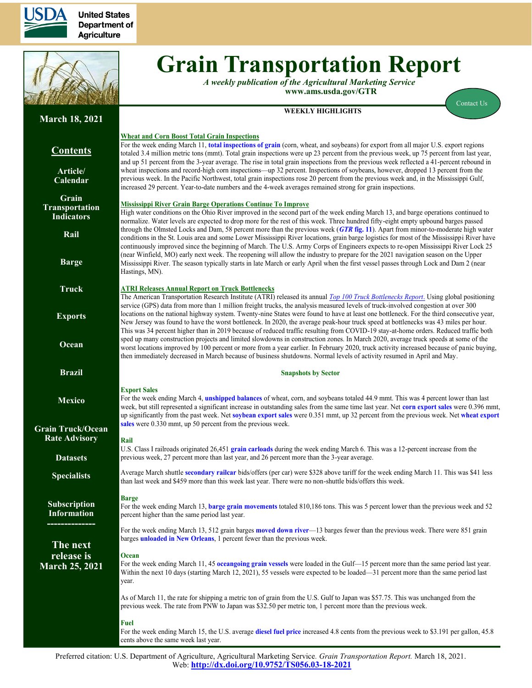

**United States** Department of **Agriculture** 



# **Grain Transportation Report**

*A weekly publication of the Agricultural Marketing Service*  **www.ams.usda.gov/GTR**

**WEEKLY HIGHLIGHTS**

[Contact Us](mailto:Surajudeen.Olowolayemo@ams.usda.gov) 

## **Contents**

**March 18, 2021**

**[Article/](#page-1-0) [Calendar](#page-1-0)**

**[Grain](#page-3-0) [Transportation](#page-3-0) [Indicators](#page-3-0)**

**[Rail](#page-4-0)**

**[Barge](#page-10-0)**

**[Truck](#page-13-0)**

**[Exports](#page-14-0)**

**[Ocean](#page-18-0)**

**[Brazil](https://www.ams.usda.gov/services/transportation-analysis/brazil)**

**[Mexico](https://www.ams.usda.gov/services/transportation-analysis/mexico)**

**[Grain Truck/Ocean](https://www.ams.usda.gov/services/transportation-analysis/gtor) [Rate Advisory](https://www.ams.usda.gov/services/transportation-analysis/gtor)**

**[Datase](https://www.ams.usda.gov/services/transportation-analysis/gtr-datasets)ts**

**[Specialists](#page-21-0)**

**[Subscription](#page-21-0)  [Information](#page-21-0)**

**--------------**

**The next release is March 25, 2021**

**Wheat and Corn Boost Total Grain Inspections**  For the week ending March 11, **[total inspections of grain](#page-16-0)** (corn, wheat, and soybeans) for export from all major U.S. export regions totaled 3.4 million metric tons (mmt). Total grain inspections were up 23 percent from the previous week, up 75 percent from last year, and up 51 percent from the 3-year average. The rise in total grain inspections from the previous week reflected a 41-percent rebound in wheat inspections and record-high corn inspections—up 32 percent. Inspections of soybeans, however, dropped 13 percent from the previous week. In the Pacific Northwest, total grain inspections rose 20 percent from the previous week and, in the Mississippi Gulf, increased 29 percent. Year-to-date numbers and the 4-week averages remained strong for grain inspections.

### **Mississippi River Grain Barge Operations Continue To Improve**

High water conditions on the Ohio River improved in the second part of the week ending March 13, and barge operations continued to normalize. Water levels are expected to drop more for the rest of this week. Three hundred fifty-eight empty upbound barges passed through the Olmsted Locks and Dam, 58 percent more than the previous week (*GTR* **[fig. 11](#page-12-0)**). Apart from minor-to-moderate high water conditions in the St. Louis area and some Lower Mississippi River locations, grain barge logistics for most of the Mississippi River have continuously improved since the beginning of March. The U.S. Army Corps of Engineers expects to re-open Mississippi River Lock 25 (near Winfield, MO) early next week. The reopening will allow the industry to prepare for the 2021 navigation season on the Upper Mississippi River. The season typically starts in late March or early April when the first vessel passes through Lock and Dam 2 (near Hastings, MN).

### **ATRI Releases Annual Report on Truck Bottlenecks**

The American Transportation Research Institute (ATRI) released its annual *[Top 100 Truck Bottlenecks Report](https://truckingresearch.org/2021/02/23/atri-releases-annual-list-of-top-100-truck-bottlenecks-4/)*. Using global positioning service (GPS) data from more than 1 million freight trucks, the analysis measured levels of truck-involved congestion at over 300 locations on the national highway system. Twenty-nine States were found to have at least one bottleneck. For the third consecutive year, New Jersey was found to have the worst bottleneck. In 2020, the average peak-hour truck speed at bottlenecks was 43 miles per hour. This was 34 percent higher than in 2019 because of reduced traffic resulting from COVID-19 stay-at-home orders. Reduced traffic both sped up many construction projects and limited slowdowns in construction zones. In March 2020, average truck speeds at some of the worst locations improved by 100 percent or more from a year earlier. In February 2020, truck activity increased because of panic buying, then immediately decreased in March because of business shutdowns. Normal levels of activity resumed in April and May.

#### **Snapshots by Sector**

### **Export Sales**

For the week ending March 4, **[unshipped balances](#page-14-1)** of wheat, corn, and soybeans totaled 44.9 mmt. This was 4 percent lower than last week, but still represented a significant increase in outstanding sales from the same time last year. Net **[corn export sales](#page-14-1)** were 0.396 mmt, up significantly from the past week. Net **[soybean export sales](#page-15-0)** were 0.351 mmt, up 32 percent from the previous week. Net **[wheat export](#page-15-0)  [sales](#page-15-0)** were 0.330 mmt, up 50 percent from the previous week.

**Rail** U.S. Class I railroads originated 26,451 **[grain carloads](#page-5-0)** during the week ending March 6. This was a 12-percent increase from the previous week, 27 percent more than last year, and 26 percent more than the 3-year average.

Average March shuttle **[secondary railcar](#page-6-0)** bids/offers (per car) were \$328 above tariff for the week ending March 11. This was \$41 less than last week and \$459 more than this week last year. There were no non-shuttle bids/offers this week.

### **Barge**

For the week ending March 13, **[barge grain movements](#page-11-0)** totaled 810,186 tons. This was 5 percent lower than the previous week and 52 percent higher than the same period last year.

For the week ending March 13, 512 grain barges **[moved down river](#page-12-0)**—13 barges fewer than the previous week. There were 851 grain barges **[unloaded in New Orleans](#page-12-0)**, 1 percent fewer than the previous week.

### **Ocean**

For the week ending March 11, 45 **[oceangoing grain vessels](#page-18-1)** were loaded in the Gulf—15 percent more than the same period last year. Within the next 10 days (starting March 12, 2021), 55 vessels were expected to be loaded—31 percent more than the same period last year.

As of March 11, the rate for shipping a metric ton of grain from the U.S. Gulf to Japan was \$57.75. This was unchanged from the previous week. The rate from PNW to Japan was \$32.50 per metric ton, 1 percent more than the previous week.

#### **Fuel**

For the week ending March 15, the U.S. average **[diesel fuel price](#page-13-1)** increased 4.8 cents from the previous week to \$3.191 per gallon, 45.8 cents above the same week last year.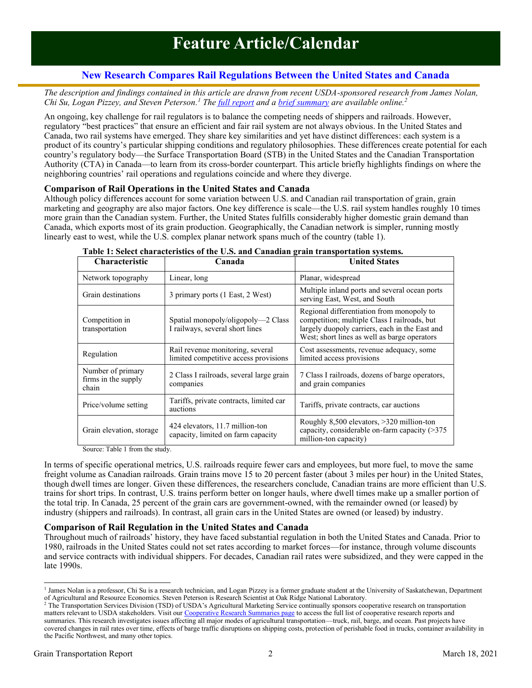## **New Research Compares Rail Regulations Between the United States and Canada**

<span id="page-1-0"></span>*The description and findings contained in this article are drawn from recent USDA-sponsored research from James Nolan, Chi Su, Logan Pizzey, and Steven Peterson. <sup>1</sup> The [full report](https://ageconsearch.umn.edu/record/307243) and a [brief summary](https://www.ams.usda.gov/sites/default/files/media/USCanadaSummary.pdf) are available online.<sup>2</sup>*

An ongoing, key challenge for rail regulators is to balance the competing needs of shippers and railroads. However, regulatory "best practices" that ensure an efficient and fair rail system are not always obvious. In the United States and Canada, two rail systems have emerged. They share key similarities and yet have distinct differences: each system is a product of its country's particular shipping conditions and regulatory philosophies. These differences create potential for each country's regulatory body—the Surface Transportation Board (STB) in the United States and the Canadian Transportation Authority (CTA) in Canada—to learn from its cross-border counterpart. This article briefly highlights findings on where the neighboring countries' rail operations and regulations coincide and where they diverge.

### **Comparison of Rail Operations in the United States and Canada**

Although policy differences account for some variation between U.S. and Canadian rail transportation of grain, grain marketing and geography are also major factors. One key difference is scale—the U.S. rail system handles roughly 10 times more grain than the Canadian system. Further, the United States fulfills considerably higher domestic grain demand than Canada, which exports most of its grain production. Geographically, the Canadian network is simpler, running mostly linearly east to west, while the U.S. complex planar network spans much of the country (table 1).

| <b>Characteristic</b>                             | radiv 1. Svivet enaracteristics of the Ois, and Canadian grain transportation systems.<br>Canada | <b>United States</b>                                                                                                                                                                        |
|---------------------------------------------------|--------------------------------------------------------------------------------------------------|---------------------------------------------------------------------------------------------------------------------------------------------------------------------------------------------|
| Network topography                                | Linear, long                                                                                     | Planar, widespread                                                                                                                                                                          |
| Grain destinations                                | 3 primary ports (1 East, 2 West)                                                                 | Multiple inland ports and several ocean ports<br>serving East, West, and South                                                                                                              |
| Competition in<br>transportation                  | Spatial monopoly/oligopoly—2 Class<br>I railways, several short lines                            | Regional differentiation from monopoly to<br>competition; multiple Class I railroads, but<br>largely duopoly carriers, each in the East and<br>West; short lines as well as barge operators |
| Regulation                                        | Rail revenue monitoring, several<br>limited competitive access provisions                        | Cost assessments, revenue adequacy, some<br>limited access provisions                                                                                                                       |
| Number of primary<br>firms in the supply<br>chain | 2 Class I railroads, several large grain<br>companies                                            | 7 Class I railroads, dozens of barge operators,<br>and grain companies                                                                                                                      |
| Price/volume setting                              | Tariffs, private contracts, limited car<br>auctions                                              | Tariffs, private contracts, car auctions                                                                                                                                                    |
| Grain elevation, storage                          | 424 elevators, 11.7 million-ton<br>capacity, limited on farm capacity                            | Roughly $8,500$ elevators, $>320$ million-ton<br>capacity, considerable on-farm capacity $($ >375<br>million-ton capacity)                                                                  |

|  | Table 1: Select characteristics of the U.S. and Canadian grain transportation systems. |  |  |  |  |  |
|--|----------------------------------------------------------------------------------------|--|--|--|--|--|
|  |                                                                                        |  |  |  |  |  |

Source: Table 1 from the study.

In terms of specific operational metrics, U.S. railroads require fewer cars and employees, but more fuel, to move the same freight volume as Canadian railroads. Grain trains move 15 to 20 percent faster (about 3 miles per hour) in the United States, though dwell times are longer. Given these differences, the researchers conclude, Canadian trains are more efficient than U.S. trains for short trips. In contrast, U.S. trains perform better on longer hauls, where dwell times make up a smaller portion of the total trip. In Canada, 25 percent of the grain cars are government-owned, with the remainder owned (or leased) by industry (shippers and railroads). In contrast, all grain cars in the United States are owned (or leased) by industry.

### **Comparison of Rail Regulation in the United States and Canada**

Throughout much of railroads' history, they have faced substantial regulation in both the United States and Canada. Prior to 1980, railroads in the United States could not set rates according to market forces—for instance, through volume discounts and service contracts with individual shippers. For decades, Canadian rail rates were subsidized, and they were capped in the late 1990s.

<sup>&</sup>lt;sup>1</sup> James Nolan is a professor, Chi Su is a research technician, and Logan Pizzey is a former graduate student at the University of Saskatchewan, Department of Agricultural and Resource Economics. Steven Peterson is Research Scientist at Oak Ridge National Laboratory.

<sup>&</sup>lt;sup>2</sup> The Transportation Services Division (TSD) of USDA's Agricultural Marketing Service continually sponsors cooperative research on transportation matters relevant to USDA stakeholders. Visit our [Cooperative Research Summaries page](https://www.ams.usda.gov/services/transportation-analysis/cooperative-agreement-summaries) to access the full list of cooperative research reports and summaries. This research investigates issues affecting all major modes of agricultural transportation—truck, rail, barge, and ocean. Past projects have covered changes in rail rates over time, effects of barge traffic disruptions on shipping costs, protection of perishable food in trucks, container availability in the Pacific Northwest, and many other topics.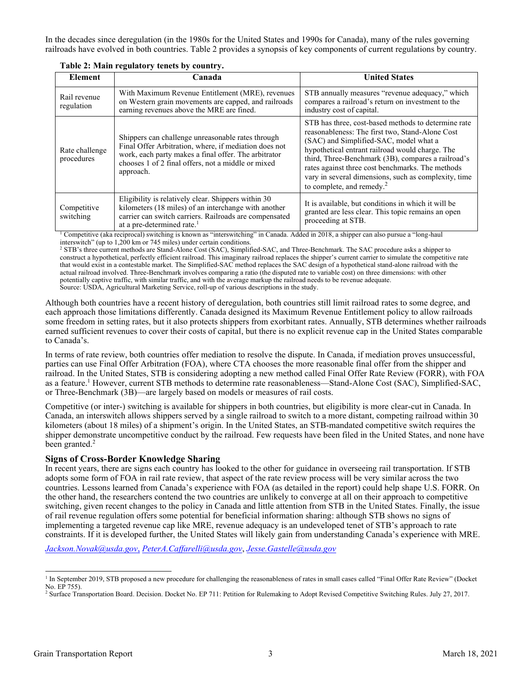In the decades since deregulation (in the 1980s for the United States and 1990s for Canada), many of the rules governing railroads have evolved in both countries. Table 2 provides a synopsis of key components of current regulations by country.

| <b>Element</b>               | Canada                                                                                                                                                                                                                                                                                                                                                   | <b>United States</b>                                                                                                                                                                                                                                                                                                                                                                                     |
|------------------------------|----------------------------------------------------------------------------------------------------------------------------------------------------------------------------------------------------------------------------------------------------------------------------------------------------------------------------------------------------------|----------------------------------------------------------------------------------------------------------------------------------------------------------------------------------------------------------------------------------------------------------------------------------------------------------------------------------------------------------------------------------------------------------|
| Rail revenue<br>regulation   | With Maximum Revenue Entitlement (MRE), revenues<br>on Western grain movements are capped, and railroads<br>earning revenues above the MRE are fined.                                                                                                                                                                                                    | STB annually measures "revenue adequacy," which<br>compares a railroad's return on investment to the<br>industry cost of capital.                                                                                                                                                                                                                                                                        |
| Rate challenge<br>procedures | Shippers can challenge unreasonable rates through<br>Final Offer Arbitration, where, if mediation does not<br>work, each party makes a final offer. The arbitrator<br>chooses 1 of 2 final offers, not a middle or mixed<br>approach.                                                                                                                    | STB has three, cost-based methods to determine rate<br>reasonableness: The first two, Stand-Alone Cost<br>(SAC) and Simplified-SAC, model what a<br>hypothetical entrant railroad would charge. The<br>third, Three-Benchmark (3B), compares a railroad's<br>rates against three cost benchmarks. The methods<br>vary in several dimensions, such as complexity, time<br>to complete, and remedy. $^{2}$ |
| Competitive<br>switching     | Eligibility is relatively clear. Shippers within 30<br>kilometers (18 miles) of an interchange with another<br>carrier can switch carriers. Railroads are compensated<br>at a pre-determined rate. <sup>1</sup><br>Competitive (also recuprocal) switching is known as "interswitching" in Canada Added in 2018, a shipper can also pursue a "long-haul" | It is available, but conditions in which it will be<br>granted are less clear. This topic remains an open<br>proceeding at STB.                                                                                                                                                                                                                                                                          |

**Table 2: Main regulatory tenets by country.**

is known as "interswitching" in Canada. Added in 2018, a shipper can also pursue a "long-haul interswitch" (up to 1,200 km or 745 miles) under certain conditions.

<sup>2</sup> STB's three current methods are Stand-Alone Cost (SAC), Simplified-SAC, and Three-Benchmark. The SAC procedure asks a shipper to construct a hypothetical, perfectly efficient railroad. This imaginary railroad replaces the shipper's current carrier to simulate the competitive rate that would exist in a contestable market. The Simplified-SAC method replaces the SAC design of a hypothetical stand-alone railroad with the actual railroad involved. Three-Benchmark involves comparing a ratio (the disputed rate to variable cost) on three dimensions: with other potentially captive traffic, with similar traffic, and with the average markup the railroad needs to be revenue adequate. Source: USDA, Agricultural Marketing Service, roll-up of various descriptions in the study.

Although both countries have a recent history of deregulation, both countries still limit railroad rates to some degree, and each approach those limitations differently. Canada designed its Maximum Revenue Entitlement policy to allow railroads some freedom in setting rates, but it also protects shippers from exorbitant rates. Annually, STB determines whether railroads earned sufficient revenues to cover their costs of capital, but there is no explicit revenue cap in the United States comparable to Canada's.

In terms of rate review, both countries offer mediation to resolve the dispute. In Canada, if mediation proves unsuccessful, parties can use Final Offer Arbitration (FOA), where CTA chooses the more reasonable final offer from the shipper and railroad. In the United States, STB is considering adopting a new method called Final Offer Rate Review (FORR), with FOA as a feature. <sup>1</sup> However, current STB methods to determine rate reasonableness—Stand-Alone Cost (SAC), Simplified-SAC, or Three-Benchmark (3B)—are largely based on models or measures of rail costs.

Competitive (or inter-) switching is available for shippers in both countries, but eligibility is more clear-cut in Canada. In Canada, an interswitch allows shippers served by a single railroad to switch to a more distant, competing railroad within 30 kilometers (about 18 miles) of a shipment's origin. In the United States, an STB-mandated competitive switch requires the shipper demonstrate uncompetitive conduct by the railroad. Few requests have been filed in the United States, and none have been granted.<sup>2</sup>

### **Signs of Cross-Border Knowledge Sharing**

In recent years, there are signs each country has looked to the other for guidance in overseeing rail transportation. If STB adopts some form of FOA in rail rate review, that aspect of the rate review process will be very similar across the two countries. Lessons learned from Canada's experience with FOA (as detailed in the report) could help shape U.S. FORR. On the other hand, the researchers contend the two countries are unlikely to converge at all on their approach to competitive switching, given recent changes to the policy in Canada and little attention from STB in the United States. Finally, the issue of rail revenue regulation offers some potential for beneficial information sharing: although STB shows no signs of implementing a targeted revenue cap like MRE, revenue adequacy is an undeveloped tenet of STB's approach to rate constraints. If it is developed further, the United States will likely gain from understanding Canada's experience with MRE.

*[Jackson.Novak@usda.gov](mailto: jackson.novak@usda.gov)*, *[PeterA.Caffarelli@usda.gov](mailto: petera.caffarelli@usda.gov)*, *[Jesse.Gastelle@usda.gov](mailto: jesse.gastelle@usda.gov)*

<sup>&</sup>lt;sup>1</sup> In September 2019, STB proposed a new procedure for challenging the reasonableness of rates in small cases called "Final Offer Rate Review" (Docket No. EP 755).

<sup>&</sup>lt;sup>2</sup> Surface Transportation Board. Decision. Docket No. EP 711: Petition for Rulemaking to Adopt Revised Competitive Switching Rules. July 27, 2017.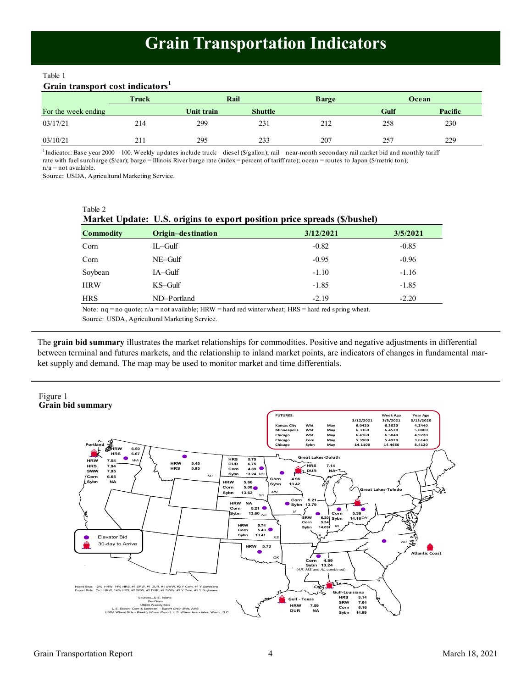## **Grain Transportation Indicators**

<span id="page-3-0"></span>Table 1

### **Grain transport cost indicators<sup>1</sup>**

|                     | Truck | Rail       |                | <b>Barge</b> |      | Ocean   |
|---------------------|-------|------------|----------------|--------------|------|---------|
| For the week ending |       | Unit train | <b>Shuttle</b> |              | Gulf | Pacific |
| 03/17/21            | 214   | 299        | 231            | 212          | 258  | 230     |
| 03/10/21            | 211   | 295        | 233            | 207          | 257  | 229     |

<sup>1</sup>Indicator: Base year 2000 = 100. Weekly updates include truck = diesel (\$/gallon); rail = near-month secondary rail market bid and monthly tariff rate with fuel surcharge (\$/car); barge = Illinois River barge rate (index = percent of tariff rate); ocean = routes to Japan (\$/metric ton); n/a = not available.

Source: USDA, Agricultural Marketing Service.

Table 2

|                  | Market Update: U.S. origins to export position price spreads (\$/bushel) |           |          |
|------------------|--------------------------------------------------------------------------|-----------|----------|
| <b>Commodity</b> | Origin-destination                                                       | 3/12/2021 | 3/5/2021 |
| Corn             | $IL$ – $Gulf$                                                            | $-0.82$   | $-0.85$  |
| Corn             | $NE-Gulf$                                                                | $-0.95$   | $-0.96$  |
| Soybean          | $IA-Gulf$                                                                | $-1.10$   | $-1.16$  |
| <b>HRW</b>       | $KS$ –Gulf                                                               | $-1.85$   | $-1.85$  |
| HRS              | ND-Portland                                                              | $-2.19$   | $-2.20$  |
|                  |                                                                          |           |          |

Note: nq = no quote; n/a = not available; HRW = hard red winter wheat; HRS = hard red spring wheat.

Source: USDA, Agricultural Marketing Service.

The **grain bid summary** illustrates the market relationships for commodities. Positive and negative adjustments in differential between terminal and futures markets, and the relationship to inland market points, are indicators of changes in fundamental market supply and demand. The map may be used to monitor market and time differentials.

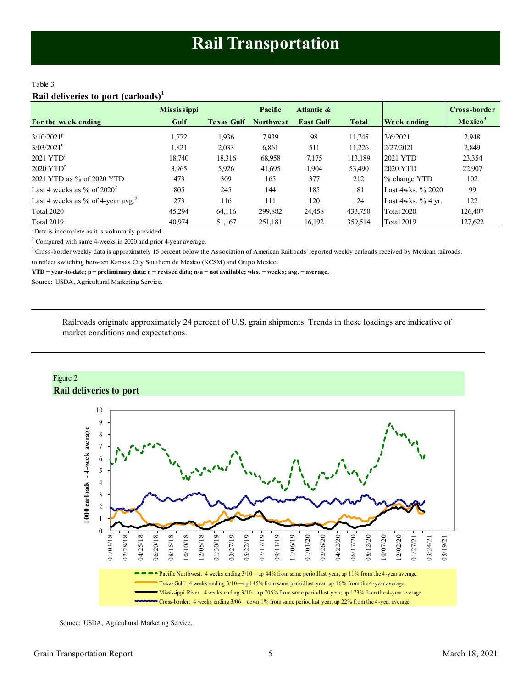### <span id="page-4-0"></span>Table 3 **Rail deliveries to port (carloads)<sup>1</sup>**

|                                               | <b>Mississippi</b> |                   | Pacific          | Atlantic &       |              |                      | Cross-border        |
|-----------------------------------------------|--------------------|-------------------|------------------|------------------|--------------|----------------------|---------------------|
| For the week ending                           | Gulf               | <b>Texas Gulf</b> | <b>Northwest</b> | <b>East Gulf</b> | <b>Total</b> | Week ending          | Mexico <sup>3</sup> |
| $3/10/2021^p$                                 | 1,772              | 1,936             | 7,939            | 98               | 11,745       | 3/6/2021             | 2,948               |
| $3/03/2021$ <sup>r</sup>                      | 1,821              | 2,033             | 6,861            | 511              | 11,226       | 2/27/2021            | 2,849               |
| $2021$ YTD <sup>r</sup>                       | 18,740             | 18,316            | 68,958           | 7,175            | 113,189      | 2021 YTD             | 23,354              |
| $2020$ YTD <sup>r</sup>                       | 3,965              | 5,926             | 41,695           | 1,904            | 53,490       | 2020 YTD             | 22,907              |
| 2021 YTD as % of 2020 YTD                     | 473                | 309               | 165              | 377              | 212          | % change YTD         | 102                 |
| Last 4 weeks as % of $2020^2$                 | 805                | 245               | 144              | 185              | 181          | Last 4wks, % 2020    | 99                  |
| Last 4 weeks as % of 4-year avg. <sup>2</sup> | 273                | 116               | 111              | 120              | 124          | Last 4wks. $%$ 4 yr. | 122                 |
| <b>Total 2020</b>                             | 45.294             | 64.116            | 299,882          | 24,458           | 433,750      | <b>Total 2020</b>    | 126.407             |
| <b>Total 2019</b>                             | 40.974             | 51,167            | 251,181          | 16,192           | 359,514      | <b>Total 2019</b>    | 127,622             |

 $1$ Data is incomplete as it is voluntarily provided.

 $2$  Compared with same 4-weeks in 2020 and prior 4-year average.

<sup>3</sup> Cross-border weekly data is approximately 15 percent below the Association of American Railroads' reported weekly carloads received by Mexican railroads.

to reflect switching between Kansas City Southern de Mexico (KCSM) and Grupo Mexico.

**YTD = year-to-date; p = preliminary data; r = revised data; n/a = not available; wks. = weeks; avg. = average.**

Source: USDA, Agricultural Marketing Service.

Railroads originate approximately 24 percent of U.S. grain shipments. Trends in these loadings are indicative of market conditions and expectations.



Source: USDA, Agricultural Marketing Service.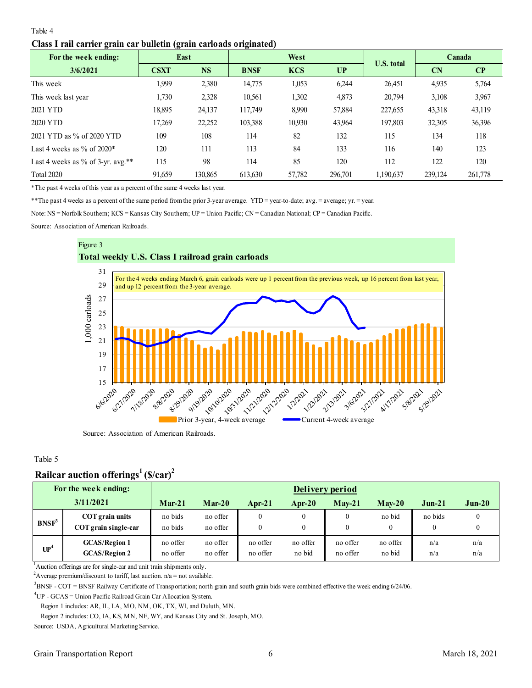### <span id="page-5-0"></span>Table 4

### **Class I rail carrier grain car bulletin (grain carloads originated)**

| o<br>For the week ending:         | $\epsilon$<br>East |           | West        |            |         | <b>U.S. total</b> | Canada  |         |
|-----------------------------------|--------------------|-----------|-------------|------------|---------|-------------------|---------|---------|
| 3/6/2021                          | <b>CSXT</b>        | <b>NS</b> | <b>BNSF</b> | <b>KCS</b> | UP      |                   | CN      | CP      |
| This week                         | 1,999              | 2,380     | 14,775      | 1,053      | 6,244   | 26,451            | 4,935   | 5,764   |
| This week last year               | 1,730              | 2,328     | 10,561      | 1,302      | 4,873   | 20,794            | 3,108   | 3,967   |
| 2021 YTD                          | 18,895             | 24,137    | 117,749     | 8,990      | 57,884  | 227,655           | 43,318  | 43,119  |
| 2020 YTD                          | 17.269             | 22,252    | 103,388     | 10,930     | 43.964  | 197,803           | 32,305  | 36,396  |
| 2021 YTD as % of 2020 YTD         | 109                | 108       | 114         | 82         | 132     | 115               | 134     | 118     |
| Last 4 weeks as $\%$ of 2020*     | 120                | 111       | 113         | 84         | 133     | 116               | 140     | 123     |
| Last 4 weeks as % of 3-yr. avg.** | 115                | 98        | 114         | 85         | 120     | 112               | 122     | 120     |
| <b>Total 2020</b>                 | 91,659             | 130,865   | 613,630     | 57,782     | 296,701 | 1,190,637         | 239,124 | 261,778 |

\*The past 4 weeks of this year as a percent of the same 4 weeks last year.

\*\*The past 4 weeks as a percent of the same period from the prior 3-year average. YTD = year-to-date; avg. = average; yr. = year.

Note: NS = Norfolk Southern; KCS = Kansas City Southern; UP = Union Pacific; CN = Canadian National; CP = Canadian Pacific.

Source: Association of American Railroads.



Source: Association of American Railroads.

### Table 5

## **Railcar auction offerings<sup>1</sup>(\$/car)<sup>2</sup>**

|                   | For the week ending:                         |                      |                      |                      |                    | Delivery period      |                    |            |            |
|-------------------|----------------------------------------------|----------------------|----------------------|----------------------|--------------------|----------------------|--------------------|------------|------------|
|                   | 3/11/2021                                    | $Mar-21$             | $Mar-20$             | <b>Apr-21</b>        | Apr- $20$          | $Mav-21$             | $Mav-20$           | $Jun-21$   | $Jun-20$   |
| BNSF <sup>3</sup> | COT grain units<br>COT grain single-car      | no bids<br>no bids   | no offer<br>no offer | 0<br>$\theta$        |                    | $\theta$             | no bid<br>$\Omega$ | no bids    |            |
| UP <sup>4</sup>   | <b>GCAS/Region 1</b><br><b>GCAS/Region 2</b> | no offer<br>no offer | no offer<br>no offer | no offer<br>no offer | no offer<br>no bid | no offer<br>no offer | no offer<br>no bid | n/a<br>n/a | n/a<br>n/a |

<sup>1</sup>Auction offerings are for single-car and unit train shipments only.

<sup>2</sup>Average premium/discount to tariff, last auction.  $n/a = not$  available.

<sup>3</sup>BNSF - COT = BNSF Railway Certificate of Transportation; north grain and south grain bids were combined effective the week ending 6/24/06.

<sup>4</sup>UP - GCAS = Union Pacific Railroad Grain Car Allocation System.

Region 1 includes: AR, IL, LA, MO, NM, OK, TX, WI, and Duluth, MN.

Region 2 includes: CO, IA, KS, MN, NE, WY, and Kansas City and St. Joseph, MO.

Source: USDA, Agricultural Marketing Service.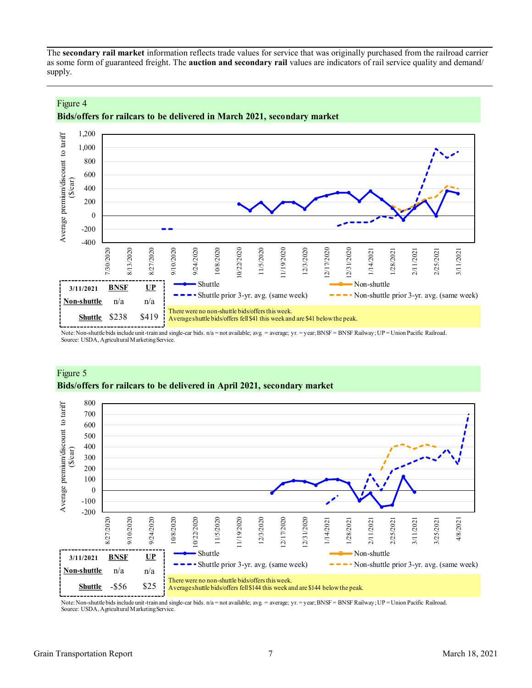<span id="page-6-0"></span>The **secondary rail market** information reflects trade values for service that was originally purchased from the railroad carrier as some form of guaranteed freight. The **auction and secondary rail** values are indicators of rail service quality and demand/ supply.



## **Bids/offers for railcars to be delivered in March 2021, secondary market**

Note: Non-shuttle bids include unit-train and single-car bids. n/a = not available; avg. = average; yr. = year; BNSF = BNSF Railway; UP = Union Pacific Railroad. Source: USDA, Agricultural Marketing Service.



## Figure 5 **Bids/offers for railcars to be delivered in April 2021, secondary market**

Note: Non-shuttle bids include unit-train and single-car bids. n/a = not available; avg. = average; yr. = year; BNSF = BNSF Railway; UP = Union Pacific Railroad. Source: USDA, Agricultural Marketing Service.

Figure 4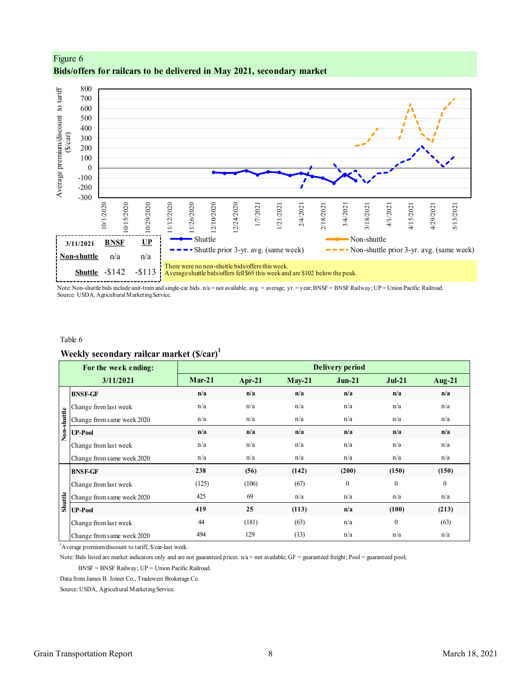

Figure 6 **Bids/offers for railcars to be delivered in May 2021, secondary market**

Note: Non-shuttle bids include unit-train and single-car bids. n/a = not available; avg. = average; yr. = year; BNSF = BNSF Railway; UP = Union Pacific Railroad. Source: USDA, Agricultural Marketing Service.

#### Table 6

### **Weekly secondary railcar market (\$/car)<sup>1</sup>**

| $Mar-21$<br>3/11/2021<br>$Apr-21$<br>$May-21$<br>n/a<br>n/a<br>n/a<br><b>BNSF-GF</b><br>n/a<br>n/a<br>n/a<br>Change from last week<br>Non-shuttle<br>n/a<br>n/a<br>n/a<br>Change from same week 2020<br>n/a<br>n/a<br>n/a<br><b>UP-Pool</b><br>n/a<br>n/a<br>n/a<br>Change from last week<br>n/a<br>n/a<br>n/a<br>Change from same week 2020<br>238<br>(142)<br>(56)<br><b>BNSF-GF</b><br>(125)<br>(106)<br>(67)<br>Change from last week<br>Shuttle<br>425<br>69<br>n/a<br>Change from same week 2020 | $Jun-21$<br>$Jul-21$<br>n/a<br>n/a<br>n/a<br>n/a<br>n/a<br>n/a<br>n/a<br>n/a<br>n/a<br>n/a<br>n/a<br>n/a<br>(200)<br>(150) | Aug- $21$<br>n/a<br>n/a<br>n/a<br>n/a<br>n/a<br>n/a |
|--------------------------------------------------------------------------------------------------------------------------------------------------------------------------------------------------------------------------------------------------------------------------------------------------------------------------------------------------------------------------------------------------------------------------------------------------------------------------------------------------------|----------------------------------------------------------------------------------------------------------------------------|-----------------------------------------------------|
|                                                                                                                                                                                                                                                                                                                                                                                                                                                                                                        |                                                                                                                            |                                                     |
|                                                                                                                                                                                                                                                                                                                                                                                                                                                                                                        |                                                                                                                            |                                                     |
|                                                                                                                                                                                                                                                                                                                                                                                                                                                                                                        |                                                                                                                            |                                                     |
|                                                                                                                                                                                                                                                                                                                                                                                                                                                                                                        |                                                                                                                            |                                                     |
|                                                                                                                                                                                                                                                                                                                                                                                                                                                                                                        |                                                                                                                            |                                                     |
|                                                                                                                                                                                                                                                                                                                                                                                                                                                                                                        |                                                                                                                            |                                                     |
|                                                                                                                                                                                                                                                                                                                                                                                                                                                                                                        |                                                                                                                            |                                                     |
|                                                                                                                                                                                                                                                                                                                                                                                                                                                                                                        |                                                                                                                            | (150)                                               |
|                                                                                                                                                                                                                                                                                                                                                                                                                                                                                                        | $\mathbf{0}$<br>$\mathbf{0}$                                                                                               | $\overline{0}$                                      |
|                                                                                                                                                                                                                                                                                                                                                                                                                                                                                                        | n/a<br>n/a                                                                                                                 | n/a                                                 |
| 419<br>25<br>(113)<br><b>UP-Pool</b>                                                                                                                                                                                                                                                                                                                                                                                                                                                                   | (100)<br>n/a                                                                                                               | (213)                                               |
| (181)<br>44<br>(63)<br>Change from last week                                                                                                                                                                                                                                                                                                                                                                                                                                                           | $\theta$<br>n/a                                                                                                            | (63)                                                |
| 494<br>129<br>(13)<br>Change from same week 2020                                                                                                                                                                                                                                                                                                                                                                                                                                                       | n/a<br>n/a                                                                                                                 | n/a                                                 |
| <sup>1</sup> Average premium/discount to tariff, \$/car-last week.                                                                                                                                                                                                                                                                                                                                                                                                                                     |                                                                                                                            |                                                     |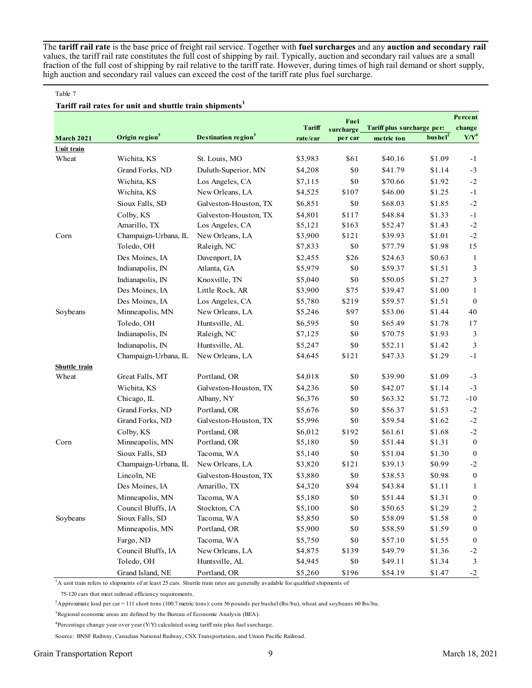The **tariff rail rate** is the base price of freight rail service. Together with **fuel surcharges** and any **auction and secondary rail** values, the tariff rail rate constitutes the full cost of shipping by rail. Typically, auction and secondary rail values are a small fraction of the full cost of shipping by rail relative to the tariff rate. However, during times of high rail demand or short supply, high auction and secondary rail values can exceed the cost of the tariff rate plus fuel surcharge.

#### Table 7

### **Tariff rail rates for unit and shuttle train shipments<sup>1</sup>**

|                      |                            |                                                                                                                                           |          | Fuel      |                            |                     | Percent             |
|----------------------|----------------------------|-------------------------------------------------------------------------------------------------------------------------------------------|----------|-----------|----------------------------|---------------------|---------------------|
|                      |                            |                                                                                                                                           | Tariff   | surcharge | Tariff plus surcharge per: |                     | change              |
| <b>March 2021</b>    | Origin region <sup>3</sup> | Destination region <sup>3</sup>                                                                                                           | rate/car | per car   | metric ton                 | bushel <sup>2</sup> | ${\bf Y}/{\bf Y}^4$ |
| Unit train           |                            |                                                                                                                                           |          |           |                            |                     |                     |
| Wheat                | Wichita, KS                | St. Louis, MO                                                                                                                             | \$3,983  | \$61      | \$40.16                    | \$1.09              | $-1$                |
|                      | Grand Forks, ND            | Duluth-Superior, MN                                                                                                                       | \$4,208  | \$0       | \$41.79                    | \$1.14              | $-3$                |
|                      | Wichita, KS                | Los Angeles, CA                                                                                                                           | \$7,115  | \$0       | \$70.66                    | \$1.92              | $-2$                |
|                      | Wichita, KS                | New Orleans, LA                                                                                                                           | \$4,525  | \$107     | \$46.00                    | \$1.25              | $-1$                |
|                      | Sioux Falls, SD            | Galveston-Houston, TX                                                                                                                     | \$6,851  | \$0       | \$68.03                    | \$1.85              | $-2$                |
|                      | Colby, KS                  | Galveston-Houston, TX                                                                                                                     | \$4,801  | \$117     | \$48.84                    | \$1.33              | $^{\rm -1}$         |
|                      | Amarillo, TX               | Los Angeles, CA                                                                                                                           | \$5,121  | \$163     | \$52.47                    | \$1.43              | $\textnormal{-}2$   |
| Corn                 | Champaign-Urbana, IL       | New Orleans, LA                                                                                                                           | \$3,900  | \$121     | \$39.93                    | \$1.01              | $-2$                |
|                      | Toledo, OH                 | Raleigh, NC                                                                                                                               | \$7,833  | \$0       | \$77.79                    | \$1.98              | 15                  |
|                      | Des Moines, IA             | Davenport, IA                                                                                                                             | \$2,455  | \$26      | \$24.63                    | \$0.63              | 1                   |
|                      | Indianapolis, IN           | Atlanta, GA                                                                                                                               | \$5,979  | \$0       | \$59.37                    | \$1.51              | $\mathfrak{Z}$      |
|                      | Indianapolis, IN           | Knoxville, TN                                                                                                                             | \$5,040  | \$0       | \$50.05                    | \$1.27              | $\mathfrak{Z}$      |
|                      | Des Moines, IA             | Little Rock, AR                                                                                                                           | \$3,900  | \$75      | \$39.47                    | \$1.00              | 1                   |
|                      | Des Moines, IA             | Los Angeles, CA                                                                                                                           | \$5,780  | \$219     | \$59.57                    | \$1.51              | $\mathbf{0}$        |
| Soybeans             | Minneapolis, MN            | New Orleans, LA                                                                                                                           | \$5,246  | \$97      | \$53.06                    | \$1.44              | 40                  |
|                      | Toledo, OH                 | Huntsville, AL                                                                                                                            | \$6,595  | \$0       | \$65.49                    | \$1.78              | 17                  |
|                      | Indianapolis, IN           | Raleigh, NC                                                                                                                               | \$7,125  | \$0       | \$70.75                    | \$1.93              | 3                   |
|                      | Indianapolis, IN           | Huntsville, AL                                                                                                                            | \$5,247  | \$0       | \$52.11                    | \$1.42              | $\mathfrak{Z}$      |
|                      | Champaign-Urbana, IL       | New Orleans, LA                                                                                                                           | \$4,645  | \$121     | \$47.33                    | \$1.29              | $-1$                |
| <b>Shuttle train</b> |                            |                                                                                                                                           |          |           |                            |                     |                     |
| Wheat                | Great Falls, MT            | Portland, OR                                                                                                                              | \$4,018  | \$0       | \$39.90                    | \$1.09              | $-3$                |
|                      | Wichita, KS                | Galveston-Houston, TX                                                                                                                     | \$4,236  | \$0       | \$42.07                    | \$1.14              | $-3$                |
|                      | Chicago, IL                | Albany, NY                                                                                                                                | \$6,376  | \$0       | \$63.32                    | \$1.72              | $-10$               |
|                      | Grand Forks, ND            | Portland, OR                                                                                                                              | \$5,676  | \$0       | \$56.37                    | \$1.53              | $-2$                |
|                      | Grand Forks, ND            | Galveston-Houston, TX                                                                                                                     | \$5,996  | \$0       | \$59.54                    | \$1.62              | $-2$                |
|                      | Colby, KS                  | Portland, OR                                                                                                                              | \$6,012  | \$192     | \$61.61                    | \$1.68              | $-2$                |
| Corn                 | Minneapolis, MN            | Portland, OR                                                                                                                              | \$5,180  | \$0       | \$51.44                    | \$1.31              | $\boldsymbol{0}$    |
|                      | Sioux Falls, SD            | Tacoma, WA                                                                                                                                | \$5,140  | \$0       | \$51.04                    | \$1.30              | $\overline{0}$      |
|                      | Champaign-Urbana, IL       | New Orleans, LA                                                                                                                           | \$3,820  | \$121     | \$39.13                    | \$0.99              | $-2$                |
|                      | Lincoln, NE                | Galveston-Houston, TX                                                                                                                     | \$3,880  | \$0       | \$38.53                    | \$0.98              | $\boldsymbol{0}$    |
|                      | Des Moines, IA             | Amarillo, TX                                                                                                                              | \$4,320  | \$94      | \$43.84                    | \$1.11              | 1                   |
|                      | Minneapolis, MN            | Tacoma, WA                                                                                                                                | \$5,180  | \$0       | \$51.44                    | \$1.31              | $\bf{0}$            |
|                      | Council Bluffs, IA         | Stockton, CA                                                                                                                              | \$5,100  | \$0       | \$50.65                    | \$1.29              | 2                   |
| Soybeans             | Sioux Falls, SD            | Tacoma, WA                                                                                                                                | \$5,850  | \$0       | \$58.09                    | \$1.58              | $\bf{0}$            |
|                      | Minneapolis, MN            | Portland, OR                                                                                                                              | \$5,900  | \$0       | \$58.59                    | \$1.59              | $\boldsymbol{0}$    |
|                      | Fargo, ND                  | Tacoma, WA                                                                                                                                | \$5,750  | \$0       | \$57.10                    | \$1.55              | $\boldsymbol{0}$    |
|                      | Council Bluffs, IA         | New Orleans, LA                                                                                                                           | \$4,875  | \$139     | \$49.79                    | \$1.36              | $-2$                |
|                      | Toledo, OH                 | Huntsville, AL                                                                                                                            | \$4,945  | \$0       | \$49.11                    | \$1.34              | 3                   |
|                      | Grand Island, NE           | Portland, OR                                                                                                                              | \$5,260  | \$196     | \$54.19                    | \$1.47              | $-2$                |
|                      |                            | <sup>1</sup> A unit train refers to shipments of at least 25 cars. Shuttle train rates are generally available for qualified shipments of |          |           |                            |                     |                     |

75-120 cars that meet railroad efficiency requirements.

<sup>2</sup>Approximate load per car = 111 short tons (100.7 metric tons): corn 56 pounds per bushel (lbs/bu), wheat and soybeans 60 lbs/bu.

<sup>3</sup>Regional economic areas are defined by the Bureau of Economic Analysis (BEA).

<sup>4</sup>Percentage change year over year (Y/Y) calculated using tariff rate plus fuel surcharge.

Source: BNSF Railway, Canadian National Railway, CSX Transportation, and Union Pacific Railroad.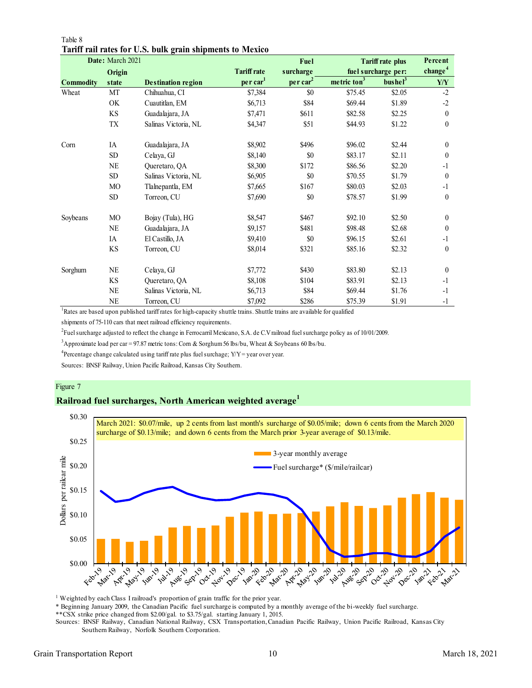|                  | Date: March 2021       |                           |                      | Fuel                 |                         | <b>Tariff rate plus</b> | Percent             |
|------------------|------------------------|---------------------------|----------------------|----------------------|-------------------------|-------------------------|---------------------|
|                  | Origin                 |                           | <b>Tariff rate</b>   | surcharge            |                         | fuel surcharge per:     | change <sup>4</sup> |
| <b>Commodity</b> | state                  | <b>Destination region</b> | per car <sup>1</sup> | per car <sup>2</sup> | metric ton <sup>3</sup> | bushel <sup>3</sup>     | Y/Y                 |
| Wheat            | MT                     | Chihuahua, CI             | \$7,384              | \$0                  | \$75.45                 | \$2.05                  | $-2$                |
|                  | OK                     | Cuautitlan, EM            | \$6,713              | \$84                 | \$69.44                 | \$1.89                  | $-2$                |
|                  | KS                     | Guadalajara, JA           | \$7,471              | \$611                | \$82.58                 | \$2.25                  | $\theta$            |
|                  | TX                     | Salinas Victoria, NL      | \$4,347              | \$51                 | \$44.93                 | \$1.22                  | $\boldsymbol{0}$    |
| Corn             | IA                     | Guadalajara, JA           | \$8,902              | \$496                | \$96.02                 | \$2.44                  | $\mathbf{0}$        |
|                  | <b>SD</b>              | Celaya, GJ                | \$8,140              | \$0                  | \$83.17                 | \$2.11                  | $\mathbf{0}$        |
|                  | $\rm NE$               | Queretaro, QA             | \$8,300              | \$172                | \$86.56                 | \$2.20                  | $-1$                |
|                  | <b>SD</b>              | Salinas Victoria, NL      | \$6,905              | \$0                  | \$70.55                 | \$1.79                  | $\theta$            |
|                  | MO                     | Tlalnepantla, EM          | \$7,665              | \$167                | \$80.03                 | \$2.03                  | $-1$                |
|                  | SD <sub></sub>         | Torreon, CU               | \$7,690              | \$0                  | \$78.57                 | \$1.99                  | $\mathbf{0}$        |
| Soybeans         | МO                     | Bojay (Tula), HG          | \$8,547              | \$467                | \$92.10                 | \$2.50                  | $\mathbf{0}$        |
|                  | NE                     | Guadalajara, JA           | \$9,157              | \$481                | \$98.48                 | \$2.68                  | $\mathbf{0}$        |
|                  | IA                     | El Castillo, JA           | \$9,410              | \$0                  | \$96.15                 | \$2.61                  | $-1$                |
|                  | $\mathbf{K}\mathbf{S}$ | Torreon, CU               | \$8,014              | \$321                | \$85.16                 | \$2.32                  | $\mathbf{0}$        |
| Sorghum          | <b>NE</b>              | Celaya, GJ                | \$7,772              | \$430                | \$83.80                 | \$2.13                  | $\mathbf{0}$        |
|                  | <b>KS</b>              | Queretaro, QA             | \$8,108              | \$104                | \$83.91                 | \$2.13                  | $-1$                |
|                  | NE                     | Salinas Victoria, NL      | \$6,713              | \$84                 | \$69.44                 | \$1.76                  | $-1$                |
|                  | <b>NE</b>              | Torreon, CU               | \$7,092              | \$286                | \$75.39                 | \$1.91                  | $-1$                |

Table 8 **Tariff rail rates for U.S. bulk grain shipments to Mexico**

<sup>1</sup>Rates are based upon published tariff rates for high-capacity shuttle trains. Shuttle trains are available for qualified

shipments of 75-110 cars that meet railroad efficiency requirements.

2 Fuel surcharge adjusted to reflect the change in Ferrocarril Mexicano, S.A. de C.V railroad fuel surcharge policy as of 10/01/2009.

<sup>3</sup>Approximate load per car = 97.87 metric tons: Corn & Sorghum 56 lbs/bu, Wheat & Soybeans 60 lbs/bu.

<sup>4</sup> Percentage change calculated using tariff rate plus fuel surchage;  $Y/Y = year$  over year.

Sources: BNSF Railway, Union Pacific Railroad, Kansas City Southern.

### Figure 7

### **Railroad fuel surcharges, North American weighted average<sup>1</sup>**



<sup>1</sup> Weighted by each Class I railroad's proportion of grain traffic for the prior year.

\* Beginning January 2009, the Canadian Pacific fuel surcharge is computed by a monthly average of the bi-weekly fuel surcharge.

\*\*CSX strike price changed from \$2.00/gal. to \$3.75/gal. starting January 1, 2015.

Sources: BNSF Railway, Canadian National Railway, CSX Transportation, Canadian Pacific Railway, Union Pacific Railroad, Kansas City Southern Railway, Norfolk Southern Corporation.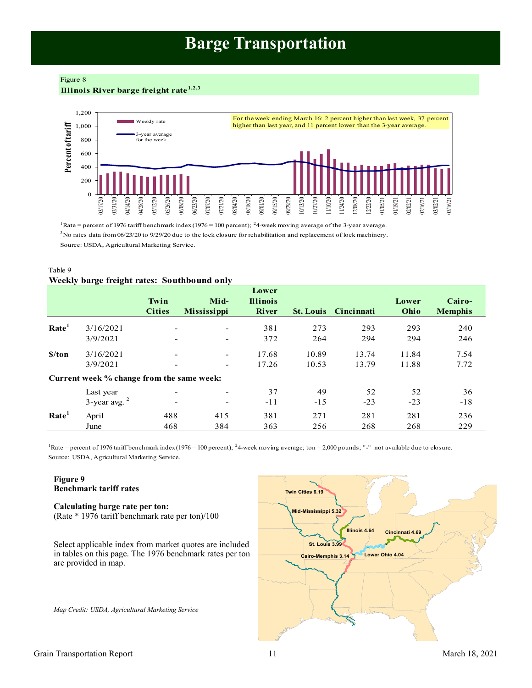## **Barge Transportation**

<span id="page-10-0"></span>Figure 8

**Illinois River barge freight rate1,2,3**



<sup>1</sup>Rate = percent of 1976 tariff benchmark index (1976 = 100 percent); <sup>2</sup>4-week moving average of the 3-year average.  $3$ No rates data from 06/23/20 to 9/29/20 due to the lock closure for rehabilitation and replacement of lock machinery. Source: USDA, Agricultural Marketing Service.

| Table 9                                     |  |
|---------------------------------------------|--|
| Weekly barge freight rates: Southbound only |  |

|                   |                                           | Twin<br><b>Cities</b> | Mid-<br><b>Mississippi</b>                           | Lower<br><b>Illinois</b><br><b>River</b> |                | <b>St. Louis</b> Cincinnati | Lower<br>Ohio  | Cairo-<br><b>Memphis</b> |
|-------------------|-------------------------------------------|-----------------------|------------------------------------------------------|------------------------------------------|----------------|-----------------------------|----------------|--------------------------|
| Rate <sup>1</sup> | 3/16/2021<br>3/9/2021                     |                       | $\overline{\phantom{0}}$<br>$\overline{\phantom{a}}$ | 381<br>372                               | 273<br>264     | 293<br>294                  | 293<br>294     | 240<br>246               |
| \$/ton            | 3/16/2021<br>3/9/2021                     |                       | $\overline{\phantom{a}}$<br>$\overline{\phantom{0}}$ | 17.68<br>17.26                           | 10.89<br>10.53 | 13.74<br>13.79              | 11.84<br>11.88 | 7.54<br>7.72             |
|                   | Current week % change from the same week: |                       |                                                      |                                          |                |                             |                |                          |
|                   | Last year<br>$3$ -year avg. $2$           | ۰                     | $\overline{\phantom{a}}$                             | 37<br>$-11$                              | 49<br>$-15$    | 52<br>$-23$                 | 52<br>$-23$    | 36<br>$-18$              |
| Rate <sup>1</sup> | April<br>June                             | 488<br>468            | 415<br>384                                           | 381<br>363                               | 271<br>256     | 281<br>268                  | 281<br>268     | 236<br>229               |

Source: USDA, Agricultural Marketing Service. <sup>1</sup>Rate = percent of 1976 tariff benchmark index (1976 = 100 percent); <sup>2</sup>4-week moving average; ton = 2,000 pounds; "-" not available due to closure.

### **Figure 9 Benchmark tariff rates**

## **Calculating barge rate per ton:**

(Rate \* 1976 tariff benchmark rate per ton)/100

Select applicable index from market quotes are included in tables on this page. The 1976 benchmark rates per ton are provided in map.

*Map Credit: USDA, Agricultural Marketing Service* 

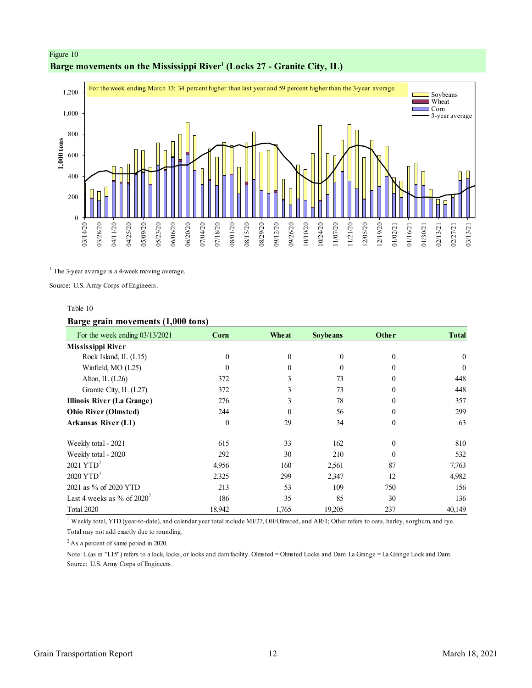## <span id="page-11-0"></span>Figure 10 **Barge movements on the Mississippi River<sup>1</sup> (Locks 27 - Granite City, IL)**



<sup>1</sup> The 3-year average is a 4-week moving average.

Source: U.S. Army Corps of Engineers.

#### Table 10

### **Barge grain movements (1,000 tons)**

| For the week ending $03/13/2021$  | Corn             | Wheat    | <b>Soybe ans</b> | Other    | <b>Total</b> |
|-----------------------------------|------------------|----------|------------------|----------|--------------|
| Mississippi River                 |                  |          |                  |          |              |
| Rock Island, IL (L15)             | 0                | $\theta$ | $\theta$         | $\theta$ | $\theta$     |
| Winfield, MO (L25)                | 0                |          | $\Omega$         | $\Omega$ | $\theta$     |
| Alton, IL $(L26)$                 | 372              |          | 73               | $\Omega$ | 448          |
| Granite City, IL (L27)            | 372              |          | 73               | $\Omega$ | 448          |
| <b>Illinois River (La Grange)</b> | 276              | 3        | 78               | $\theta$ | 357          |
| <b>Ohio River (Olmsted)</b>       | 244              | $\theta$ | 56               | $\theta$ | 299          |
| Arkansas River (L1)               | $\boldsymbol{0}$ | 29       | 34               | $\Omega$ | 63           |
| Weekly total - 2021               | 615              | 33       | 162              | $\Omega$ | 810          |
| Weekly total - 2020               | 292              | 30       | 210              | $\Omega$ | 532          |
| $2021$ YTD <sup>1</sup>           | 4,956            | 160      | 2,561            | 87       | 7,763        |
| $2020$ YTD <sup>1</sup>           | 2,325            | 299      | 2,347            | 12       | 4,982        |
| 2021 as % of 2020 YTD             | 213              | 53       | 109              | 750      | 156          |
| Last 4 weeks as % of $2020^2$     | 186              | 35       | 85               | 30       | 136          |
| Total 2020                        | 18,942           | 1,765    | 19,205           | 237      | 40,149       |

<sup>1</sup> Weekly total, YTD (year-to-date), and calendar year total include MI/27, OH/Olmsted, and AR/1; Other refers to oats, barley, sorghum, and rye. Total may not add exactly due to rounding..

<sup>2</sup> As a percent of same period in 2020.

Note: L (as in "L15") refers to a lock, locks, or locks and dam facility. Olmsted = Olmsted Locks and Dam. La Grange = La Grange Lock and Dam. Source: U.S. Army Corps of Engineers.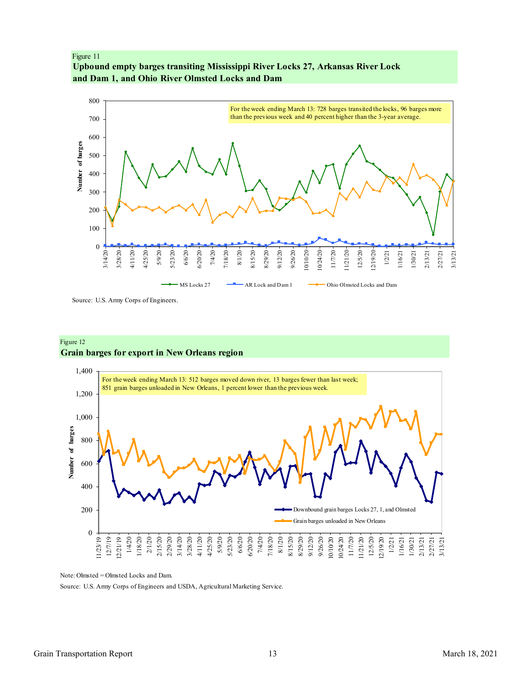<span id="page-12-0"></span>Figure 11 **Upbound empty barges transiting Mississippi River Locks 27, Arkansas River Lock and Dam 1, and Ohio River Olmsted Locks and Dam**



Source: U.S. Army Corps of Engineers.

### Figure 12 **Grain barges for export in New Orleans region**



Note: Olmsted = Olmsted Locks and Dam.

Source: U.S. Army Corps of Engineers and USDA, Agricultural Marketing Service.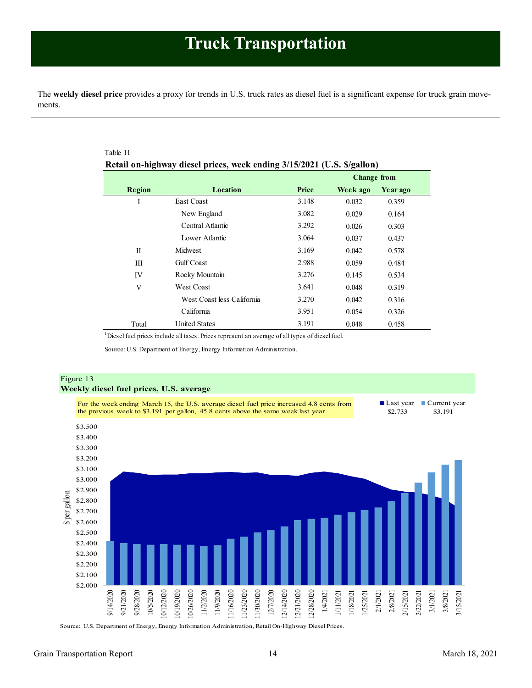<span id="page-13-1"></span><span id="page-13-0"></span>The **weekly diesel price** provides a proxy for trends in U.S. truck rates as diesel fuel is a significant expense for truck grain movements.

|             |                            |       | <b>Change from</b> |          |
|-------------|----------------------------|-------|--------------------|----------|
| Region      | Location                   | Price | Week ago           | Year ago |
| Ι           | <b>East Coast</b>          | 3.148 | 0.032              | 0.359    |
|             | New England                | 3.082 | 0.029              | 0.164    |
|             | Central Atlantic           | 3.292 | 0.026              | 0.303    |
|             | Lower Atlantic             | 3.064 | 0.037              | 0.437    |
| $_{\rm II}$ | Midwest                    | 3.169 | 0.042              | 0.578    |
| Ш           | <b>Gulf</b> Coast          | 2.988 | 0.059              | 0.484    |
| IV          | Rocky Mountain             | 3.276 | 0.145              | 0.534    |
| V           | <b>West Coast</b>          | 3.641 | 0.048              | 0.319    |
|             | West Coast less California | 3.270 | 0.042              | 0.316    |
|             | California                 | 3.951 | 0.054              | 0.326    |
| Total       | <b>United States</b>       | 3.191 | 0.048              | 0.458    |

<sup>1</sup> Diesel fuel prices include all taxes. Prices represent an average of all types of diesel fuel.

Source: U.S. Department of Energy, Energy Information Administration.



Source: U.S. Department of Energy, Energy Information Administration, Retail On-Highway Diesel Prices.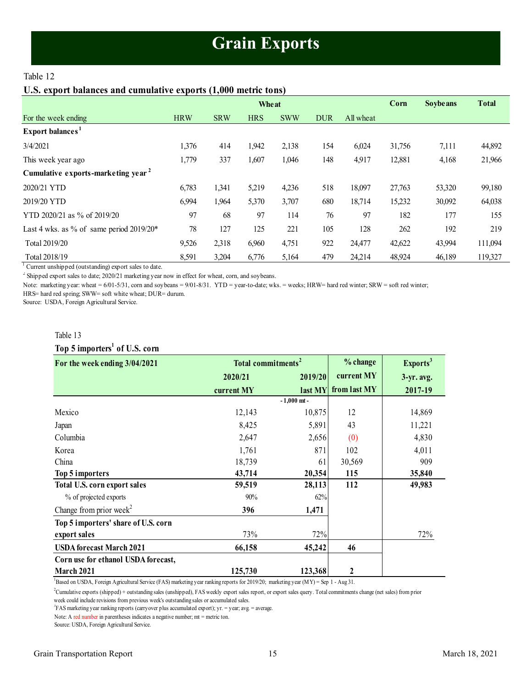## **Grain Exports**

### <span id="page-14-1"></span><span id="page-14-0"></span>Table 12

### **U.S. export balances and cumulative exports (1,000 metric tons)**

|                                                |            |            | Wheat      |            |            |           | Corn   | <b>Soybeans</b> | <b>Total</b> |
|------------------------------------------------|------------|------------|------------|------------|------------|-----------|--------|-----------------|--------------|
| For the week ending                            | <b>HRW</b> | <b>SRW</b> | <b>HRS</b> | <b>SWW</b> | <b>DUR</b> | All wheat |        |                 |              |
| Export balances <sup>1</sup>                   |            |            |            |            |            |           |        |                 |              |
| 3/4/2021                                       | 1,376      | 414        | 1,942      | 2,138      | 154        | 6,024     | 31,756 | 7,111           | 44,892       |
| This week year ago                             | 1,779      | 337        | 1,607      | 1,046      | 148        | 4,917     | 12,881 | 4,168           | 21,966       |
| Cumulative exports-marketing year <sup>2</sup> |            |            |            |            |            |           |        |                 |              |
| 2020/21 YTD                                    | 6,783      | 1,341      | 5,219      | 4,236      | 518        | 18,097    | 27,763 | 53,320          | 99,180       |
| 2019/20 YTD                                    | 6,994      | 1,964      | 5,370      | 3,707      | 680        | 18,714    | 15,232 | 30,092          | 64,038       |
| YTD 2020/21 as % of 2019/20                    | 97         | 68         | 97         | 114        | 76         | 97        | 182    | 177             | 155          |
| Last 4 wks. as % of same period $2019/20*$     | 78         | 127        | 125        | 221        | 105        | 128       | 262    | 192             | 219          |
| Total 2019/20                                  | 9,526      | 2,318      | 6,960      | 4,751      | 922        | 24,477    | 42,622 | 43,994          | 111,094      |
| Total 2018/19                                  | 8,591      | 3,204      | 6,776      | 5,164      | 479        | 24,214    | 48,924 | 46,189          | 119,327      |

<sup>1</sup> Current unshipped (outstanding) export sales to date.

 $2^2$  Shipped export sales to date; 2020/21 marketing year now in effect for wheat, corn, and soybeans.

Note: marketing year: wheat = 6/01-5/31, corn and soybeans = 9/01-8/31. YTD = year-to-date; wks. = weeks; HRW= hard red winter; SRW = soft red winter;

HRS= hard red spring; SWW= soft white wheat; DUR= durum.

Source: USDA, Foreign Agricultural Service.

### Table 13

## **Top 5 importers<sup>1</sup> of U.S. corn**

| Table 13                                  |                                |               |              |                      |
|-------------------------------------------|--------------------------------|---------------|--------------|----------------------|
| Top 5 importers <sup>1</sup> of U.S. corn |                                |               |              |                      |
| For the week ending 3/04/2021             | Total commitments <sup>2</sup> |               | % change     | Exports <sup>3</sup> |
|                                           | 2020/21                        | 2019/20       | current MY   | $3-yr$ . avg.        |
|                                           | current MY                     | last MY       | from last MY | 2017-19              |
|                                           |                                | $-1.000$ mt - |              |                      |
| Mexico                                    | 12,143                         | 10,875        | 12           | 14,869               |
| Japan                                     | 8,425                          | 5,891         | 43           | 11,221               |
| Columbia                                  | 2,647                          | 2,656         | (0)          | 4,830                |
| Korea                                     | 1,761                          | 871           | 102          | 4,011                |
| China                                     | 18,739                         | 61            | 30,569       | 909                  |
| Top 5 importers                           | 43,714                         | 20,354        | 115          | 35,840               |
| Total U.S. corn export sales              | 59,519                         | 28,113        | 112          | 49,983               |
| % of projected exports                    | 90%                            | 62%           |              |                      |
| Change from prior week <sup>2</sup>       | 396                            | 1,471         |              |                      |
| Top 5 importers' share of U.S. corn       |                                |               |              |                      |
| export sales                              | 73%                            | 72%           |              | 72%                  |
| <b>USDA</b> forecast March 2021           | 66,158                         | 45,242        | 46           |                      |
| Corn use for ethanol USDA forecast,       |                                |               |              |                      |
| March 2021                                | 125,730                        | 123,368       | 2            |                      |

 ${}^{1}$ Based on USDA, Foreign Agricultural Service (FAS) marketing year ranking reports for 2019/20; marketing year (MY) = Sep 1 - Aug 31.

<sup>2</sup>Cumulative exports (shipped) + outstanding sales (unshipped), FAS weekly export sales report, or export sales query. Total commitments change (net sales) from prior

week could include revisions from previous week's outstanding sales or accumulated sales.

<sup>3</sup>FAS marketing year ranking reports (carryover plus accumulated export); yr. = year; avg. = average.

Note: A red number in parentheses indicates a negative number; mt = metric ton.

Source: USDA, Foreign Agricultural Service.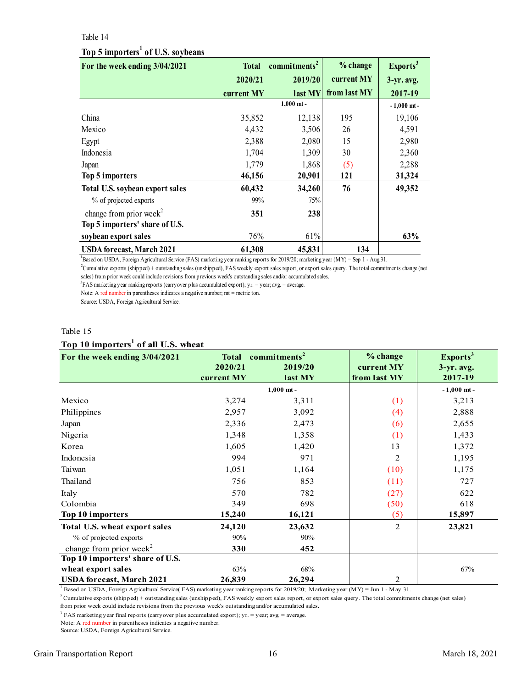#### Table 14

## **Top 5 importers<sup>1</sup> of U.S. soybeans**

<span id="page-15-0"></span>

| Table 14                                      |              |                          |              |                      |
|-----------------------------------------------|--------------|--------------------------|--------------|----------------------|
| Top 5 importers <sup>1</sup> of U.S. soybeans |              |                          |              |                      |
| For the week ending 3/04/2021                 | <b>Total</b> | commitments <sup>2</sup> | % change     | Exports <sup>3</sup> |
|                                               | 2020/21      | 2019/20                  | current MY   | $3-yr$ . avg.        |
|                                               | current MY   | last MY                  | from last MY | 2017-19              |
|                                               |              | $1,000$ mt -             |              | $-1,000$ mt -        |
| China                                         | 35,852       | 12,138                   | 195          | 19,106               |
| Mexico                                        | 4,432        | 3,506                    | 26           | 4,591                |
| Egypt                                         | 2,388        | 2,080                    | 15           | 2,980                |
| Indonesia                                     | 1,704        | 1,309                    | 30           | 2,360                |
| Japan                                         | 1,779        | 1,868                    | (5)          | 2,288                |
| Top 5 importers                               | 46,156       | 20,901                   | 121          | 31,324               |
| Total U.S. soybean export sales               | 60,432       | 34,260                   | 76           | 49,352               |
| % of projected exports                        | 99%          | 75%                      |              |                      |
| change from prior week <sup>2</sup>           | 351          | 238                      |              |                      |
| Top 5 importers' share of U.S.                |              |                          |              |                      |
| soybean export sales                          | 76%          | 61%                      |              | 63%                  |
| <b>USDA</b> forecast, March 2021              | 61,308       | 45,831                   | 134          |                      |

<sup>1</sup>Based on USDA, Foreign Agricultural Service (FAS) marketing year ranking reports for 2019/20; marketing year (MY) = Sep 1 - Aug 31.

<sup>2</sup>Cumulative exports (shipped) + outstanding sales (unshipped), FAS weekly export sales report, or export sales query. The total commitments change (net sales) from prior week could include revisions from previous week's outstanding sales and/or accumulated sales.

<sup>3</sup>FAS marketing year ranking reports (carryover plus accumulated export); yr. = year; avg. = average.

Note: A red number in parentheses indicates a negative number; mt = metric ton.

Source: USDA, Foreign Agricultural Service.

### Table 15

### **Top 10 importers<sup>1</sup> of all U.S. wheat**

| Table 15                                        |                                                                                         |              |                                        |                                                  |  |  |  |  |
|-------------------------------------------------|-----------------------------------------------------------------------------------------|--------------|----------------------------------------|--------------------------------------------------|--|--|--|--|
| Top 10 importers <sup>1</sup> of all U.S. wheat |                                                                                         |              |                                        |                                                  |  |  |  |  |
| For the week ending 3/04/2021                   | commitments <sup>2</sup><br><b>Total</b><br>2020/21<br>2019/20<br>current MY<br>last MY |              | % change<br>current MY<br>from last MY | Exports <sup>3</sup><br>$3-yr$ . avg.<br>2017-19 |  |  |  |  |
|                                                 |                                                                                         | $1,000$ mt - |                                        | $-1,000$ mt -                                    |  |  |  |  |
| Mexico                                          | 3,274                                                                                   | 3,311        | (1)                                    | 3,213                                            |  |  |  |  |
| Philippines                                     | 2,957                                                                                   | 3,092        | (4)                                    | 2,888                                            |  |  |  |  |
| Japan                                           | 2,336                                                                                   | 2,473        | (6)                                    | 2,655                                            |  |  |  |  |
| Nigeria                                         | 1,348                                                                                   | 1,358        | (1)                                    | 1,433                                            |  |  |  |  |
| Korea                                           | 1,605                                                                                   | 1,420        | 13                                     | 1,372                                            |  |  |  |  |
| Indonesia                                       | 994                                                                                     | 971          | 2                                      | 1,195                                            |  |  |  |  |
| Taiwan                                          | 1,051                                                                                   | 1,164        | (10)                                   | 1,175                                            |  |  |  |  |
| Thailand                                        | 756                                                                                     | 853          | (11)                                   | 727                                              |  |  |  |  |
| Italy                                           | 570                                                                                     | 782          | (27)                                   | 622                                              |  |  |  |  |
| Colombia                                        | 349                                                                                     | 698          | (50)                                   | 618                                              |  |  |  |  |
| Top 10 importers                                | 15,240                                                                                  | 16,121       | (5)                                    | 15,897                                           |  |  |  |  |
| Total U.S. wheat export sales                   | 24,120                                                                                  | 23,632       | $\overline{2}$                         | 23,821                                           |  |  |  |  |
| % of projected exports                          | 90%                                                                                     | 90%          |                                        |                                                  |  |  |  |  |
| change from prior week <sup>2</sup>             | 330                                                                                     | 452          |                                        |                                                  |  |  |  |  |
| Top 10 importers' share of U.S.                 |                                                                                         |              |                                        |                                                  |  |  |  |  |
| wheat export sales                              | 63%                                                                                     | 68%          |                                        | 67%                                              |  |  |  |  |
| <b>USDA</b> forecast, March 2021                | 26,839                                                                                  | 26,294       | 2                                      |                                                  |  |  |  |  |

<sup>1</sup> Based on USDA, Foreign Agricultural Service( FAS) marketing year ranking reports for 2019/20; Marketing year (MY) = Jun 1 - May 31.

 $2$ Cumulative exports (shipped) + outstanding sales (unshipped), FAS weekly export sales report, or export sales query. The total commitments change (net sales)

from prior week could include revisions from the previous week's outstanding and/or accumulated sales.

 $3$  FAS marketing year final reports (carryover plus accumulated export); yr. = year; avg. = average.

Note: A red number in parentheses indicates a negative number.

Source: USDA, Foreign Agricultural Service.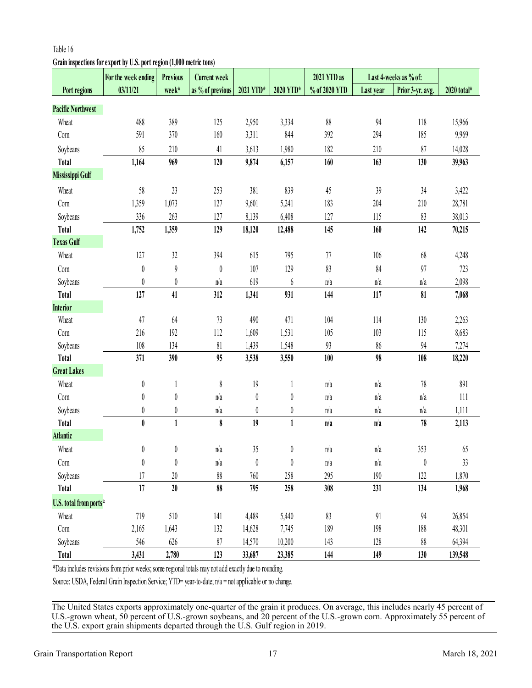# <span id="page-16-0"></span>**Grain inspections for export by U.S. port region (1,000 metric tons)**

|                          | For the week ending                                                                                     | <b>Previous</b>  | <b>Current week</b> |                  |                  | 2021 YTD as   |           | Last 4-weeks as % of: |             |
|--------------------------|---------------------------------------------------------------------------------------------------------|------------------|---------------------|------------------|------------------|---------------|-----------|-----------------------|-------------|
| Port regions             | 03/11/21                                                                                                | week*            | as % of previous    | 2021 YTD*        | 2020 YTD*        | % of 2020 YTD | Last year | Prior 3-yr. avg.      | 2020 total* |
| <b>Pacific Northwest</b> |                                                                                                         |                  |                     |                  |                  |               |           |                       |             |
| Wheat                    | 488                                                                                                     | 389              | 125                 | 2,950            | 3,334            | 88            | 94        | 118                   | 15,966      |
| Corn                     | 591                                                                                                     | 370              | 160                 | 3,311            | 844              | 392           | 294       | 185                   | 9,969       |
| Soybeans                 | 85                                                                                                      | 210              | 41                  | 3,613            | 1,980            | 182           | 210       | 87                    | 14,028      |
| <b>Total</b>             | 1,164                                                                                                   | 969              | 120                 | 9,874            | 6,157            | 160           | 163       | 130                   | 39,963      |
| Mississippi Gulf         |                                                                                                         |                  |                     |                  |                  |               |           |                       |             |
| Wheat                    | 58                                                                                                      | 23               | 253                 | 381              | 839              | 45            | 39        | 34                    | 3,422       |
| Corn                     | 1,359                                                                                                   | 1,073            | 127                 | 9,601            | 5,241            | 183           | 204       | 210                   | 28,781      |
| Soybeans                 | 336                                                                                                     | 263              | 127                 | 8,139            | 6,408            | 127           | 115       | 83                    | 38,013      |
| <b>Total</b>             | 1,752                                                                                                   | 1,359            | 129                 | 18,120           | 12,488           | 145           | 160       | 142                   | 70,215      |
| <b>Texas Gulf</b>        |                                                                                                         |                  |                     |                  |                  |               |           |                       |             |
| Wheat                    | 127                                                                                                     | 32               | 394                 | 615              | 795              | $77\,$        | 106       | 68                    | 4,248       |
| Corn                     | $\boldsymbol{0}$                                                                                        | $\boldsymbol{9}$ | $\boldsymbol{0}$    | 107              | 129              | 83            | 84        | 97                    | 723         |
| Soybeans                 | $\boldsymbol{0}$                                                                                        | $\boldsymbol{0}$ | n/a                 | 619              | $\boldsymbol{6}$ | n/a           | n/a       | n/a                   | 2,098       |
| <b>Total</b>             | 127                                                                                                     | 41               | 312                 | 1,341            | 931              | 144           | 117       | 81                    | 7,068       |
| <b>Interior</b>          |                                                                                                         |                  |                     |                  |                  |               |           |                       |             |
| Wheat                    | 47                                                                                                      | 64               | 73                  | 490              | 471              | 104           | 114       | 130                   | 2,263       |
| Corn                     | 216                                                                                                     | 192              | 112                 | 1,609            | 1,531            | 105           | 103       | 115                   | 8,683       |
| Soybeans                 | 108                                                                                                     | 134              | 81                  | 1,439            | 1,548            | 93            | 86        | 94                    | 7,274       |
| <b>Total</b>             | 371                                                                                                     | 390              | 95                  | 3,538            | 3,550            | 100           | 98        | 108                   | 18,220      |
| <b>Great Lakes</b>       |                                                                                                         |                  |                     |                  |                  |               |           |                       |             |
| Wheat                    | $\boldsymbol{0}$                                                                                        | $\mathbf{1}$     | $\,$                | 19               | $\mathbf{1}$     | n/a           | n/a       | $78\,$                | 891         |
| Corn                     | $\boldsymbol{0}$                                                                                        | $\boldsymbol{0}$ | n/a                 | $\boldsymbol{0}$ | $\boldsymbol{0}$ | n/a           | n/a       | n/a                   | 111         |
| Soybeans                 | $\pmb{0}$                                                                                               | 0                | n/a                 | 0                | 0                | n/a           | n/a       | n/a                   | 1,111       |
| <b>Total</b>             | $\pmb{0}$                                                                                               | $\mathbf{1}$     | $\bf{8}$            | 19               | $\mathbf{1}$     | n/a           | n/a       | $78\,$                | 2,113       |
| <b>Atlantic</b>          |                                                                                                         |                  |                     |                  |                  |               |           |                       |             |
| Wheat                    | $\boldsymbol{0}$                                                                                        | $\pmb{0}$        | n/a                 | 35               | $\boldsymbol{0}$ | n/a           | n/a       | 353                   | 65          |
| Corn                     | 0                                                                                                       | $\theta$         | n/a                 | 0                | 0                | n/a           | n/a       | 0                     | 33          |
| Soybeans                 | 17                                                                                                      | 20               | 88                  | 760              | 258              | 295           | 190       | 122                   | 1,870       |
| Total                    | 17                                                                                                      | $20\,$           | 88                  | 795              | 258              | 308           | 231       | 134                   | 1,968       |
| U.S. total from ports*   |                                                                                                         |                  |                     |                  |                  |               |           |                       |             |
| Wheat                    | 719                                                                                                     | 510              | 141                 | 4,489            | 5,440            | 83            | 91        | 94                    | 26,854      |
| Corn                     | 2,165                                                                                                   | 1,643            | 132                 | 14,628           | 7,745            | 189           | 198       | 188                   | 48,301      |
| Soybeans                 | 546                                                                                                     | 626              | 87                  | 14,570           | 10,200           | 143           | 128       | 88                    | 64,394      |
| <b>Total</b>             | 3,431                                                                                                   | 2,780            | 123                 | 33,687           | 23,385           | 144           | 149       | 130                   | 139,548     |
|                          | *Data includes revisions from prior weeks; some regional totals may not add exactly due to rounding.    |                  |                     |                  |                  |               |           |                       |             |
|                          | Source: USDA, Federal Grain Inspection Service; YTD= year-to-date; $n/a$ = not applicable or no change. |                  |                     |                  |                  |               |           |                       |             |

The United States exports approximately one-quarter of the grain it produces. On average, this includes nearly 45 percent of U.S.-grown wheat, 50 percent of U.S.-grown soybeans, and 20 percent of the U.S.-grown corn. Approximately 55 percent of the U.S. export grain shipments departed through the U.S. Gulf region in 2019.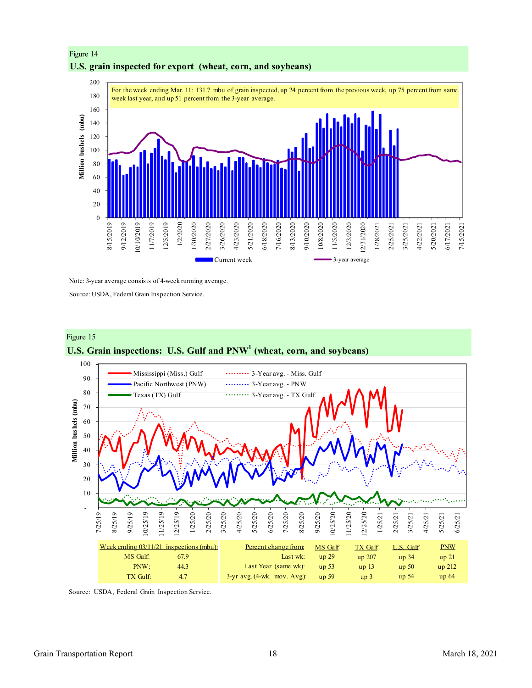



Note: 3-year average consists of 4-week running average.

Source: USDA, Federal Grain Inspection Service.



Source: USDA, Federal Grain Inspection Service.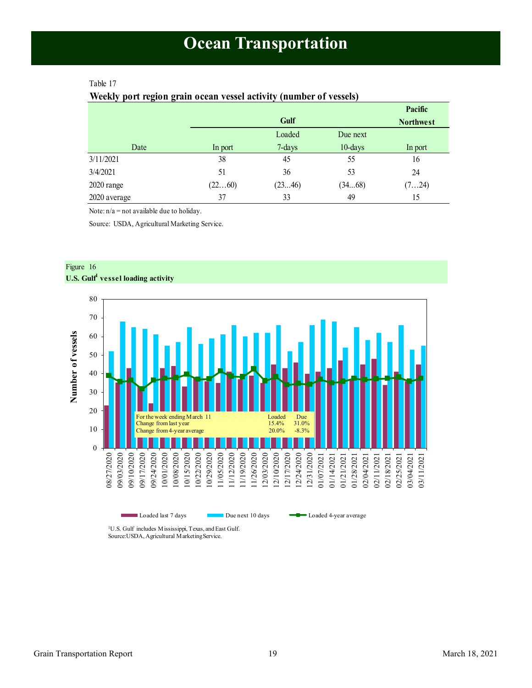### <span id="page-18-1"></span><span id="page-18-0"></span>Table 17

### **Weekly port region grain ocean vessel activity (number of vessels)**

|              |         |        |            | Pacific          |
|--------------|---------|--------|------------|------------------|
|              |         | Gulf   |            | <b>Northwest</b> |
|              |         | Loaded | Due next   |                  |
| Date         | In port | 7-days | $10$ -days | In port          |
| 3/11/2021    | 38      | 45     | 55         | 16               |
| 3/4/2021     | 51      | 36     | 53         | 24               |
| 2020 range   | (2260)  | (2346) | (3468)     | (724)            |
| 2020 average | 37      | 33     | 49         | 15               |

Note: n/a = not available due to holiday.

Source: USDA, Agricultural Marketing Service.



Figure 16

Source:USDA, Agricultural Marketing Service.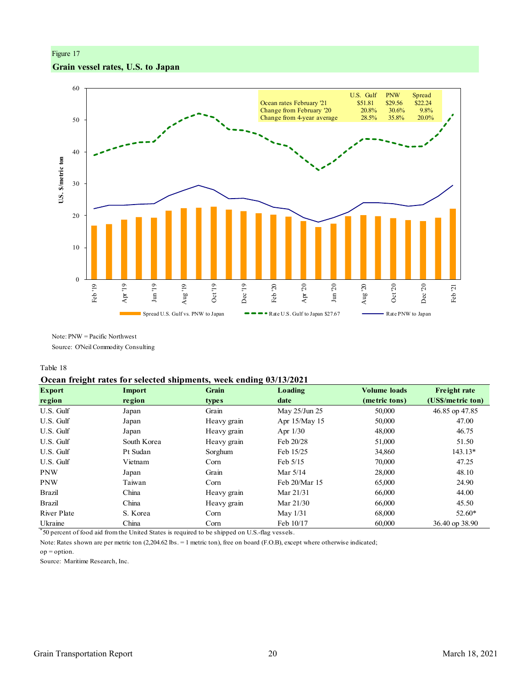## Figure 17 **Grain vessel rates, U.S. to Japan**



Note: PNW = Pacific Northwest Source: O'Neil Commodity Consulting

Table 18

### **Ocean freight rates for selected shipments, week ending 03/13/2021**

| $\tilde{\phantom{a}}$<br><b>Export</b> | Import      | <b>Grain</b> | Loading       | <b>Volume loads</b> | <b>Freight rate</b> |
|----------------------------------------|-------------|--------------|---------------|---------------------|---------------------|
| region                                 | region      | <b>types</b> | date          | (metric tons)       | (US\$/metric ton)   |
| U.S. Gulf                              | Japan       | Grain        | May 25/Jun 25 | 50,000              | 46.85 op 47.85      |
| U.S. Gulf                              | Japan       | Heavy grain  | Apr 15/May 15 | 50,000              | 47.00               |
| U.S. Gulf                              | Japan       | Heavy grain  | Apr $1/30$    | 48,000              | 46.75               |
| U.S. Gulf                              | South Korea | Heavy grain  | Feb 20/28     | 51,000              | 51.50               |
| U.S. Gulf                              | Pt Sudan    | Sorghum      | Feb 15/25     | 34,860              | 143.13*             |
| U.S. Gulf                              | Vietnam     | Corn         | Feb 5/15      | 70,000              | 47.25               |
| <b>PNW</b>                             | Japan       | Grain        | Mar $5/14$    | 28,000              | 48.10               |
| <b>PNW</b>                             | Taiwan      | Corn         | Feb 20/Mar 15 | 65,000              | 24.90               |
| Brazil                                 | China       | Heavy grain  | Mar 21/31     | 66,000              | 44.00               |
| Brazil                                 | China       | Heavy grain  | Mar 21/30     | 66,000              | 45.50               |
| River Plate                            | S. Korea    | Corn         | May $1/31$    | 68,000              | $52.60*$            |
| Ukraine                                | China       | Corn         | Feb $10/17$   | 60,000              | 36.40 op 38.90      |

\* 50 percent of food aid from the United States is required to be shipped on U.S.-flag vessels.

op = option. Note: Rates shown are per metric ton (2,204.62 lbs. = 1 metric ton), free on board (F.O.B), except where otherwise indicated;

Source: Maritime Research, Inc.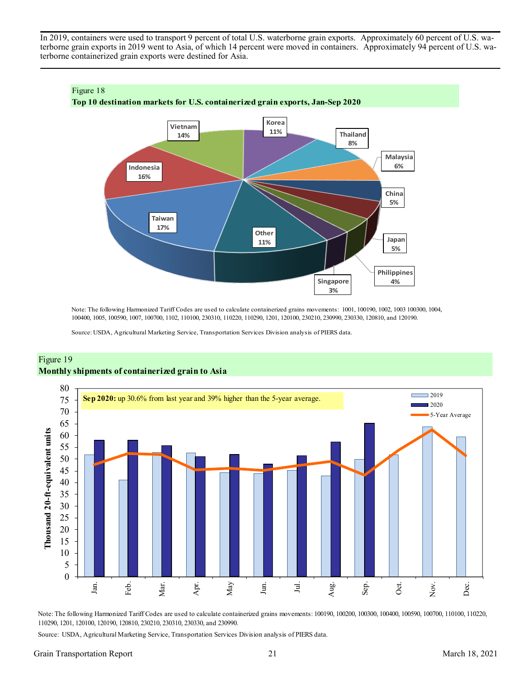In 2019, containers were used to transport 9 percent of total U.S. waterborne grain exports. Approximately 60 percent of U.S. waterborne grain exports in 2019 went to Asia, of which 14 percent were moved in containers. Approximately 94 percent of U.S. waterborne containerized grain exports were destined for Asia.



Note: The following Harmonized Tariff Codes are used to calculate containerized grains movements: 1001, 100190, 1002, 1003 100300, 1004, 100400, 1005, 100590, 1007, 100700, 1102, 110100, 230310, 110220, 110290, 1201, 120100, 230210, 230990, 230330, 120810, and 120190.

Source: USDA, Agricultural Marketing Service, Transportation Services Division analysis of PIERS data.



### Figure 19 **Monthly shipments of containerized grain to Asia**

Note: The following Harmonized Tariff Codes are used to calculate containerized grains movements: 100190, 100200, 100300, 100400, 100590, 100700, 110100, 110220, 110290, 1201, 120100, 120190, 120810, 230210, 230310, 230330, and 230990.

Source: USDA, Agricultural Marketing Service, Transportation Services Division analysis of PIERS data.

### Grain Transportation Report 21 March 18, 2021